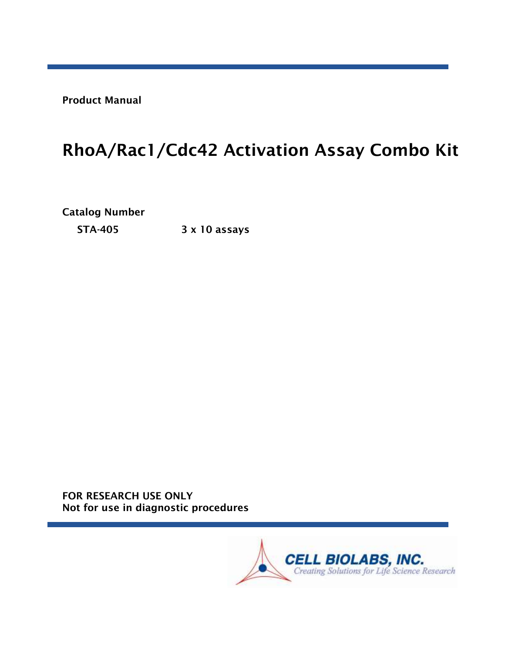Product Manual

# RhoA/Rac1/Cdc42 Activation Assay Combo Kit

Catalog Number

STA-405 3 x 10 assays

FOR RESEARCH USE ONLY Not for use in diagnostic procedures

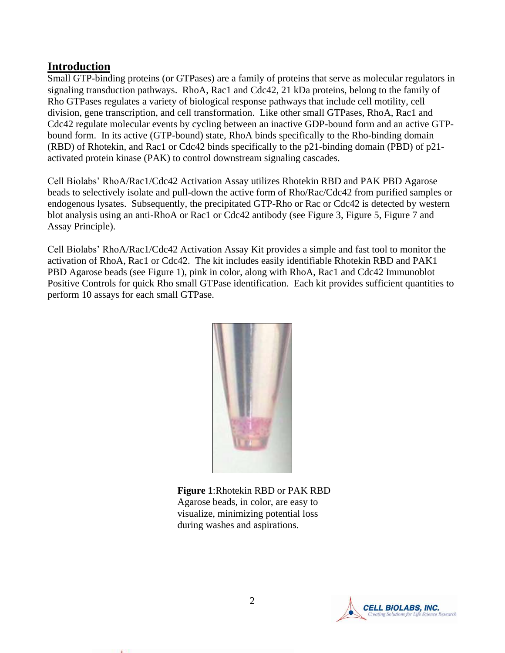## **Introduction**

Small GTP-binding proteins (or GTPases) are a family of proteins that serve as molecular regulators in signaling transduction pathways. RhoA, Rac1 and Cdc42, 21 kDa proteins, belong to the family of Rho GTPases regulates a variety of biological response pathways that include cell motility, cell division, gene transcription, and cell transformation. Like other small GTPases, RhoA, Rac1 and Cdc42 regulate molecular events by cycling between an inactive GDP-bound form and an active GTPbound form. In its active (GTP-bound) state, RhoA binds specifically to the Rho-binding domain (RBD) of Rhotekin, and Rac1 or Cdc42 binds specifically to the p21-binding domain (PBD) of p21 activated protein kinase (PAK) to control downstream signaling cascades.

Cell Biolabs' RhoA/Rac1/Cdc42 Activation Assay utilizes Rhotekin RBD and PAK PBD Agarose beads to selectively isolate and pull-down the active form of Rho/Rac/Cdc42 from purified samples or endogenous lysates. Subsequently, the precipitated GTP-Rho or Rac or Cdc42 is detected by western blot analysis using an anti-RhoA or Rac1 or Cdc42 antibody (see Figure 3, Figure 5, Figure 7 and Assay Principle).

Cell Biolabs' RhoA/Rac1/Cdc42 Activation Assay Kit provides a simple and fast tool to monitor the activation of RhoA, Rac1 or Cdc42. The kit includes easily identifiable Rhotekin RBD and PAK1 PBD Agarose beads (see Figure 1), pink in color, along with RhoA, Rac1 and Cdc42 Immunoblot Positive Controls for quick Rho small GTPase identification. Each kit provides sufficient quantities to perform 10 assays for each small GTPase.



**Figure 1**:Rhotekin RBD or PAK RBD Agarose beads, in color, are easy to visualize, minimizing potential loss during washes and aspirations.

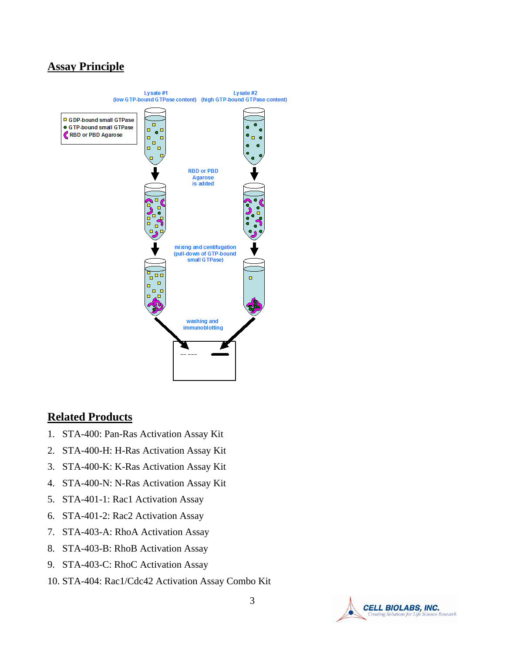## **Assay Principle**



## **Related Products**

- 1. STA-400: Pan-Ras Activation Assay Kit
- 2. STA-400-H: H-Ras Activation Assay Kit
- 3. STA-400-K: K-Ras Activation Assay Kit
- 4. STA-400-N: N-Ras Activation Assay Kit
- 5. STA-401-1: Rac1 Activation Assay
- 6. STA-401-2: Rac2 Activation Assay
- 7. STA-403-A: RhoA Activation Assay
- 8. STA-403-B: RhoB Activation Assay
- 9. STA-403-C: RhoC Activation Assay
- 10. STA-404: Rac1/Cdc42 Activation Assay Combo Kit

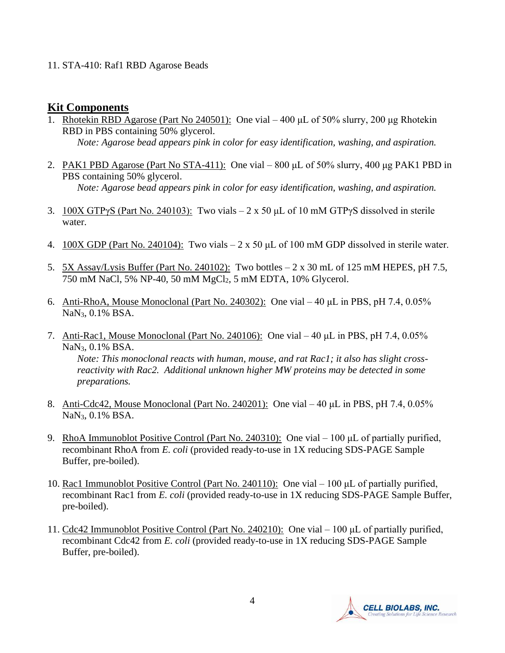#### 11. STA-410: Raf1 RBD Agarose Beads

#### **Kit Components**

- 1. Rhotekin RBD Agarose (Part No 240501): One vial 400 μL of 50% slurry, 200 μg Rhotekin RBD in PBS containing 50% glycerol. *Note: Agarose bead appears pink in color for easy identification, washing, and aspiration.*
- 2. PAK1 PBD Agarose (Part No STA-411): One vial 800 μL of 50% slurry, 400 μg PAK1 PBD in PBS containing 50% glycerol. *Note: Agarose bead appears pink in color for easy identification, washing, and aspiration.*
- 3. 100X GTPγS (Part No. 240103): Two vials 2 x 50  $\mu$ L of 10 mM GTPγS dissolved in sterile water.
- 4.  $100X$  GDP (Part No. 240104): Two vials  $-2 \times 50$  µL of 100 mM GDP dissolved in sterile water.
- 5. 5X Assay/Lysis Buffer (Part No. 240102): Two bottles 2 x 30 mL of 125 mM HEPES, pH 7.5, 750 mM NaCl, 5% NP-40, 50 mM MgCl2, 5 mM EDTA, 10% Glycerol.
- 6. Anti-RhoA, Mouse Monoclonal (Part No. 240302): One vial 40 μL in PBS, pH 7.4, 0.05% NaN3, 0.1% BSA.
- 7. Anti-Rac1, Mouse Monoclonal (Part No. 240106): One vial 40 μL in PBS, pH 7.4, 0.05% NaN3, 0.1% BSA. *Note: This monoclonal reacts with human, mouse, and rat Rac1; it also has slight crossreactivity with Rac2. Additional unknown higher MW proteins may be detected in some preparations.*
- 8. Anti-Cdc42, Mouse Monoclonal (Part No. 240201): One vial 40 μL in PBS, pH 7.4, 0.05% NaN3, 0.1% BSA.
- 9. RhoA Immunoblot Positive Control (Part No. 240310): One vial 100 μL of partially purified, recombinant RhoA from *E. coli* (provided ready-to-use in 1X reducing SDS-PAGE Sample Buffer, pre-boiled).
- 10. Rac1 Immunoblot Positive Control (Part No. 240110): One vial 100 μL of partially purified, recombinant Rac1 from *E. coli* (provided ready-to-use in 1X reducing SDS-PAGE Sample Buffer, pre-boiled).
- 11. Cdc42 Immunoblot Positive Control (Part No. 240210): One vial 100 μL of partially purified, recombinant Cdc42 from *E. coli* (provided ready-to-use in 1X reducing SDS-PAGE Sample Buffer, pre-boiled).

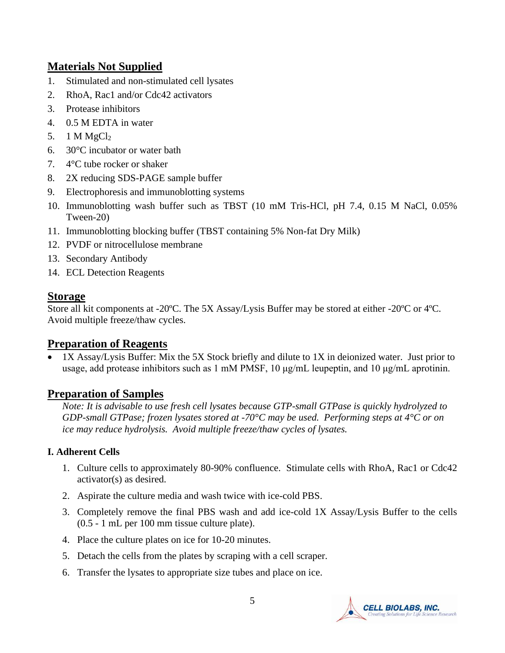## **Materials Not Supplied**

- 1. Stimulated and non-stimulated cell lysates
- 2. RhoA, Rac1 and/or Cdc42 activators
- 3. Protease inhibitors
- 4. 0.5 M EDTA in water
- 5.  $1 M MgCl<sub>2</sub>$
- 6. 30°C incubator or water bath
- 7. 4°C tube rocker or shaker
- 8. 2X reducing SDS-PAGE sample buffer
- 9. Electrophoresis and immunoblotting systems
- 10. Immunoblotting wash buffer such as TBST (10 mM Tris-HCl, pH 7.4, 0.15 M NaCl, 0.05% Tween-20)
- 11. Immunoblotting blocking buffer (TBST containing 5% Non-fat Dry Milk)
- 12. PVDF or nitrocellulose membrane
- 13. Secondary Antibody
- 14. ECL Detection Reagents

# **Storage**

Store all kit components at -20ºC. The 5X Assay/Lysis Buffer may be stored at either -20ºC or 4ºC. Avoid multiple freeze/thaw cycles.

# **Preparation of Reagents**

• 1X Assay/Lysis Buffer: Mix the 5X Stock briefly and dilute to 1X in deionized water. Just prior to usage, add protease inhibitors such as 1 mM PMSF, 10 μg/mL leupeptin, and 10 μg/mL aprotinin.

# **Preparation of Samples**

*Note: It is advisable to use fresh cell lysates because GTP-small GTPase is quickly hydrolyzed to GDP-small GTPase; frozen lysates stored at -70°C may be used. Performing steps at 4°C or on ice may reduce hydrolysis. Avoid multiple freeze/thaw cycles of lysates.* 

## **I. Adherent Cells**

- 1. Culture cells to approximately 80-90% confluence. Stimulate cells with RhoA, Rac1 or Cdc42 activator(s) as desired.
- 2. Aspirate the culture media and wash twice with ice-cold PBS.
- 3. Completely remove the final PBS wash and add ice-cold 1X Assay/Lysis Buffer to the cells (0.5 - 1 mL per 100 mm tissue culture plate).
- 4. Place the culture plates on ice for 10-20 minutes.
- 5. Detach the cells from the plates by scraping with a cell scraper.
- 6. Transfer the lysates to appropriate size tubes and place on ice.

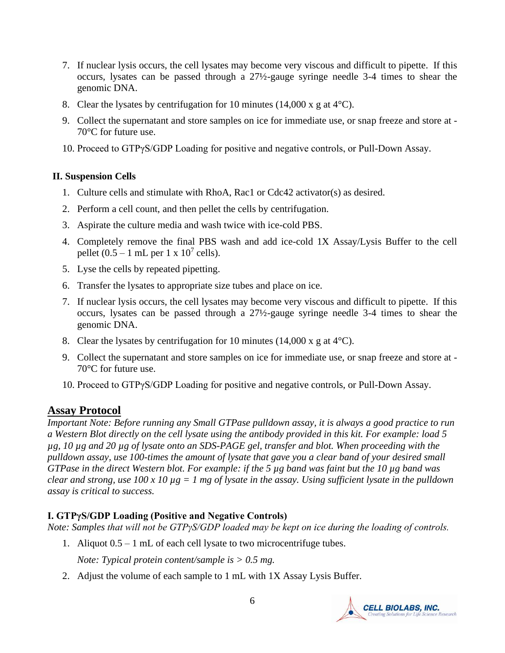- 7. If nuclear lysis occurs, the cell lysates may become very viscous and difficult to pipette. If this occurs, lysates can be passed through a 27½-gauge syringe needle 3-4 times to shear the genomic DNA.
- 8. Clear the lysates by centrifugation for 10 minutes (14,000 x g at  $4^{\circ}$ C).
- 9. Collect the supernatant and store samples on ice for immediate use, or snap freeze and store at 70°C for future use.
- 10. Proceed to GTPγS/GDP Loading for positive and negative controls, or Pull-Down Assay.

#### **II. Suspension Cells**

- 1. Culture cells and stimulate with RhoA, Rac1 or Cdc42 activator(s) as desired.
- 2. Perform a cell count, and then pellet the cells by centrifugation.
- 3. Aspirate the culture media and wash twice with ice-cold PBS.
- 4. Completely remove the final PBS wash and add ice-cold 1X Assay/Lysis Buffer to the cell pellet  $(0.5 - 1$  mL per  $1 \times 10^7$  cells).
- 5. Lyse the cells by repeated pipetting.
- 6. Transfer the lysates to appropriate size tubes and place on ice.
- 7. If nuclear lysis occurs, the cell lysates may become very viscous and difficult to pipette. If this occurs, lysates can be passed through a 27½-gauge syringe needle 3-4 times to shear the genomic DNA.
- 8. Clear the lysates by centrifugation for 10 minutes (14,000 x g at  $4^{\circ}$ C).
- 9. Collect the supernatant and store samples on ice for immediate use, or snap freeze and store at 70°C for future use.
- 10. Proceed to GTPγS/GDP Loading for positive and negative controls, or Pull-Down Assay.

## **Assay Protocol**

*Important Note: Before running any Small GTPase pulldown assay, it is always a good practice to run a Western Blot directly on the cell lysate using the antibody provided in this kit. For example: load 5 µg, 10 µg and 20 µg of lysate onto an SDS-PAGE gel, transfer and blot. When proceeding with the pulldown assay, use 100-times the amount of lysate that gave you a clear band of your desired small GTPase in the direct Western blot. For example: if the 5 µg band was faint but the 10 µg band was clear and strong, use 100 x 10 µg = 1 mg of lysate in the assay. Using sufficient lysate in the pulldown assay is critical to success.*

#### **I. GTPγS/GDP Loading (Positive and Negative Controls)**

*Note: Samples that will not be GTPγS/GDP loaded may be kept on ice during the loading of controls.*

1. Aliquot 0.5 – 1 mL of each cell lysate to two microcentrifuge tubes.

*Note: Typical protein content/sample is > 0.5 mg.* 

2. Adjust the volume of each sample to 1 mL with 1X Assay Lysis Buffer.

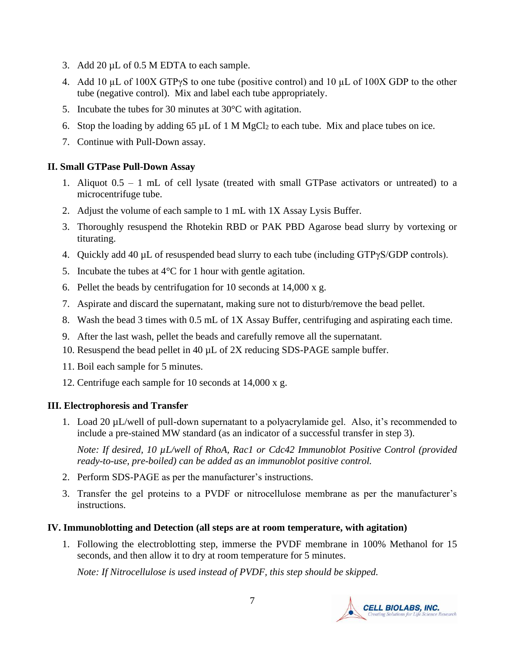- 3. Add 20 µL of 0.5 M EDTA to each sample.
- 4. Add 10 µL of 100X GTPγS to one tube (positive control) and 10 µL of 100X GDP to the other tube (negative control). Mix and label each tube appropriately.
- 5. Incubate the tubes for 30 minutes at 30°C with agitation.
- 6. Stop the loading by adding 65  $\mu$ L of 1 M MgCl<sub>2</sub> to each tube. Mix and place tubes on ice.
- 7. Continue with Pull-Down assay.

#### **II. Small GTPase Pull-Down Assay**

- 1. Aliquot 0.5 1 mL of cell lysate (treated with small GTPase activators or untreated) to a microcentrifuge tube.
- 2. Adjust the volume of each sample to 1 mL with 1X Assay Lysis Buffer.
- 3. Thoroughly resuspend the Rhotekin RBD or PAK PBD Agarose bead slurry by vortexing or titurating.
- 4. Quickly add 40  $\mu$ L of resuspended bead slurry to each tube (including GTP $\gamma$ S/GDP controls).
- 5. Incubate the tubes at  $4^{\circ}$ C for 1 hour with gentle agitation.
- 6. Pellet the beads by centrifugation for 10 seconds at 14,000 x g.
- 7. Aspirate and discard the supernatant, making sure not to disturb/remove the bead pellet.
- 8. Wash the bead 3 times with 0.5 mL of 1X Assay Buffer, centrifuging and aspirating each time.
- 9. After the last wash, pellet the beads and carefully remove all the supernatant.
- 10. Resuspend the bead pellet in 40  $\mu$ L of 2X reducing SDS-PAGE sample buffer.
- 11. Boil each sample for 5 minutes.
- 12. Centrifuge each sample for 10 seconds at 14,000 x g.

## **III. Electrophoresis and Transfer**

1. Load 20 µL/well of pull-down supernatant to a polyacrylamide gel. Also, it's recommended to include a pre-stained MW standard (as an indicator of a successful transfer in step 3).

*Note: If desired, 10 µL/well of RhoA, Rac1 or Cdc42 Immunoblot Positive Control (provided ready-to-use, pre-boiled) can be added as an immunoblot positive control.* 

- 2. Perform SDS-PAGE as per the manufacturer's instructions.
- 3. Transfer the gel proteins to a PVDF or nitrocellulose membrane as per the manufacturer's instructions.

## **IV. Immunoblotting and Detection (all steps are at room temperature, with agitation)**

1. Following the electroblotting step, immerse the PVDF membrane in 100% Methanol for 15 seconds, and then allow it to dry at room temperature for 5 minutes.

*Note: If Nitrocellulose is used instead of PVDF, this step should be skipped.*

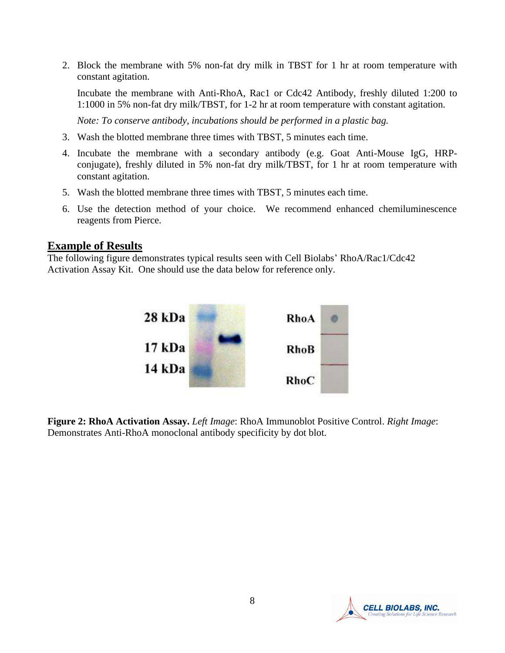2. Block the membrane with 5% non-fat dry milk in TBST for 1 hr at room temperature with constant agitation.

Incubate the membrane with Anti-RhoA, Rac1 or Cdc42 Antibody, freshly diluted 1:200 to 1:1000 in 5% non-fat dry milk/TBST, for 1-2 hr at room temperature with constant agitation.

*Note: To conserve antibody, incubations should be performed in a plastic bag.*

- 3. Wash the blotted membrane three times with TBST, 5 minutes each time.
- 4. Incubate the membrane with a secondary antibody (e.g. Goat Anti-Mouse IgG, HRPconjugate), freshly diluted in 5% non-fat dry milk/TBST, for 1 hr at room temperature with constant agitation.
- 5. Wash the blotted membrane three times with TBST, 5 minutes each time.
- 6. Use the detection method of your choice. We recommend enhanced chemiluminescence reagents from Pierce.

#### **Example of Results**

The following figure demonstrates typical results seen with Cell Biolabs' RhoA/Rac1/Cdc42 Activation Assay Kit. One should use the data below for reference only.



**Figure 2: RhoA Activation Assay.** *Left Image*: RhoA Immunoblot Positive Control. *Right Image*: Demonstrates Anti-RhoA monoclonal antibody specificity by dot blot.

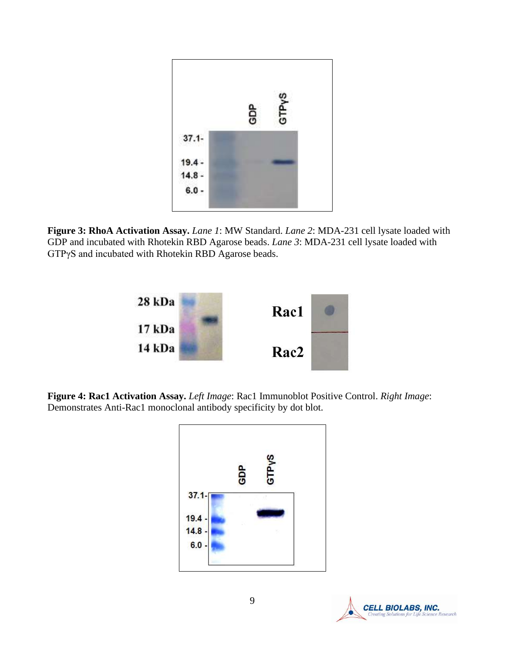

**Figure 3: RhoA Activation Assay.** *Lane 1*: MW Standard. *Lane 2*: MDA-231 cell lysate loaded with GDP and incubated with Rhotekin RBD Agarose beads. *Lane 3*: MDA-231 cell lysate loaded with GTPγS and incubated with Rhotekin RBD Agarose beads.



**Figure 4: Rac1 Activation Assay.** *Left Image*: Rac1 Immunoblot Positive Control. *Right Image*: Demonstrates Anti-Rac1 monoclonal antibody specificity by dot blot.



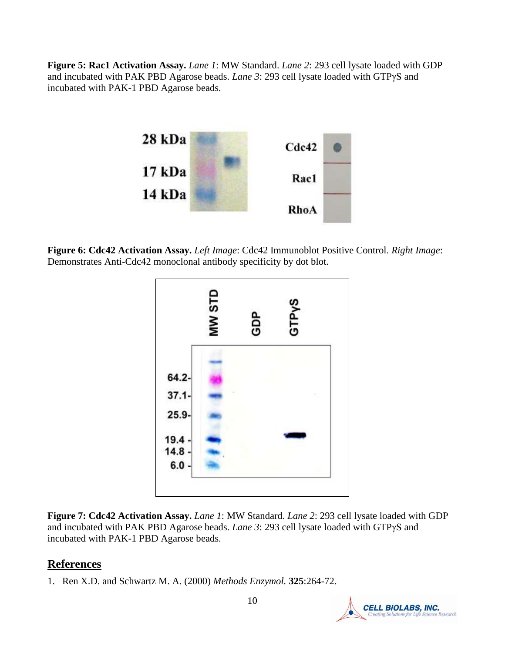**Figure 5: Rac1 Activation Assay.** *Lane 1*: MW Standard. *Lane 2*: 293 cell lysate loaded with GDP and incubated with PAK PBD Agarose beads. *Lane 3*: 293 cell lysate loaded with GTPγS and incubated with PAK-1 PBD Agarose beads.



**Figure 6: Cdc42 Activation Assay.** *Left Image*: Cdc42 Immunoblot Positive Control. *Right Image*: Demonstrates Anti-Cdc42 monoclonal antibody specificity by dot blot.



**Figure 7: Cdc42 Activation Assay.** *Lane 1*: MW Standard. *Lane 2*: 293 cell lysate loaded with GDP and incubated with PAK PBD Agarose beads. *Lane 3*: 293 cell lysate loaded with GTPγS and incubated with PAK-1 PBD Agarose beads.

# **References**

1. Ren X.D. and Schwartz M. A. (2000) *[Methods Enzymol.](javascript:AL_get(this,%20)* **325**:264-72.

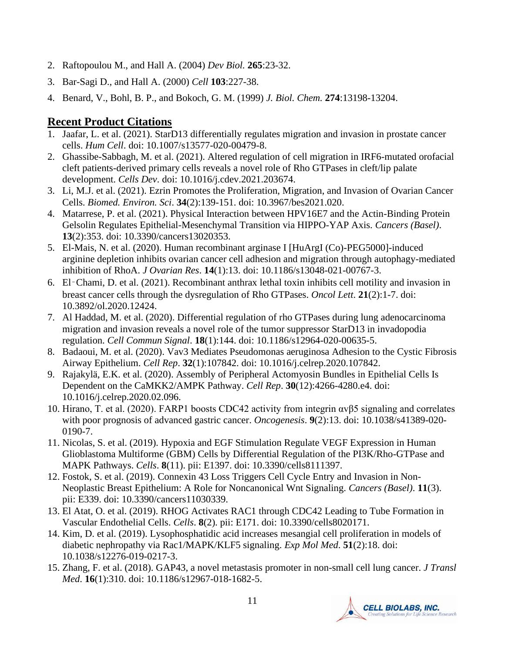- 2. [Raftopoulou M.](http://www.ncbi.nlm.nih.gov/entrez/query.fcgi?db=pubmed&cmd=Search&term=%22Raftopoulou+M%22%5BAuthor%5D), and [Hall A.](http://www.ncbi.nlm.nih.gov/entrez/query.fcgi?db=pubmed&cmd=Search&term=%22Hall+A%22%5BAuthor%5D) (2004) *Dev Biol.* **265**:23-32.
- 3. [Bar-Sagi D.](http://www.ncbi.nlm.nih.gov/entrez/query.fcgi?db=pubmed&cmd=Search&term=%22Bar%2DSagi+D%22%5BAuthor%5D), and [Hall A.](http://www.ncbi.nlm.nih.gov/entrez/query.fcgi?db=pubmed&cmd=Search&term=%22Hall+A%22%5BAuthor%5D) (2000) *Cell* **103**:227-38.
- 4. Benard, V., Bohl, B. P., and Bokoch, G. M. (1999) *J. Biol. Chem.* **274**:13198-13204.

# **Recent Product Citations**

- 1. Jaafar, L. et al. (2021). StarD13 differentially regulates migration and invasion in prostate cancer cells. *Hum Cell*. doi: 10.1007/s13577-020-00479-8.
- 2. Ghassibe-Sabbagh, M. et al. (2021). Altered regulation of cell migration in IRF6-mutated orofacial cleft patients-derived primary cells reveals a novel role of Rho GTPases in cleft/lip palate development. *Cells Dev*. doi: 10.1016/j.cdev.2021.203674.
- 3. Li, M.J. et al. (2021). Ezrin Promotes the Proliferation, Migration, and Invasion of Ovarian Cancer Cells. *Biomed. Environ. Sci*. **34**(2):139-151. doi: 10.3967/bes2021.020.
- 4. Matarrese, P. et al. (2021). Physical Interaction between HPV16E7 and the Actin-Binding Protein Gelsolin Regulates Epithelial-Mesenchymal Transition via HIPPO-YAP Axis. *Cancers (Basel)*. **13**(2):353. doi: 10.3390/cancers13020353.
- 5. El-Mais, N. et al. (2020). Human recombinant arginase I [HuArgI (Co)-PEG5000]-induced arginine depletion inhibits ovarian cancer cell adhesion and migration through autophagy-mediated inhibition of RhoA. *J Ovarian Res*. **14**(1):13. doi: 10.1186/s13048-021-00767-3.
- 6. El‑Chami, D. et al. (2021). Recombinant anthrax lethal toxin inhibits cell motility and invasion in breast cancer cells through the dysregulation of Rho GTPases. *Oncol Lett*. **21**(2):1-7. doi: 10.3892/ol.2020.12424.
- 7. Al Haddad, M. et al. (2020). Differential regulation of rho GTPases during lung adenocarcinoma migration and invasion reveals a novel role of the tumor suppressor StarD13 in invadopodia regulation. *Cell Commun Signal*. **18**(1):144. doi: 10.1186/s12964-020-00635-5.
- 8. Badaoui, M. et al. (2020). Vav3 Mediates Pseudomonas aeruginosa Adhesion to the Cystic Fibrosis Airway Epithelium. *Cell Rep*. **32**(1):107842. doi: 10.1016/j.celrep.2020.107842.
- 9. Rajakylä, E.K. et al. (2020). Assembly of Peripheral Actomyosin Bundles in Epithelial Cells Is Dependent on the CaMKK2/AMPK Pathway. *Cell Rep*. **30**(12):4266-4280.e4. doi: 10.1016/j.celrep.2020.02.096.
- 10. Hirano, T. et al. (2020). FARP1 boosts CDC42 activity from integrin αvβ5 signaling and correlates with poor prognosis of advanced gastric cancer. *Oncogenesis*. **9**(2):13. doi: 10.1038/s41389-020- 0190-7.
- 11. Nicolas, S. et al. (2019). Hypoxia and EGF Stimulation Regulate VEGF Expression in Human Glioblastoma Multiforme (GBM) Cells by Differential Regulation of the PI3K/Rho-GTPase and MAPK Pathways. *Cells*. **8**(11). pii: E1397. doi: 10.3390/cells8111397.
- 12. Fostok, S. et al. (2019). Connexin 43 Loss Triggers Cell Cycle Entry and Invasion in Non-Neoplastic Breast Epithelium: A Role for Noncanonical Wnt Signaling. *Cancers (Basel)*. **11**(3). pii: E339. doi: 10.3390/cancers11030339.
- 13. El Atat, O. et al. (2019). RHOG Activates RAC1 through CDC42 Leading to Tube Formation in Vascular Endothelial Cells. *Cells*. **8**(2). pii: E171. doi: 10.3390/cells8020171.
- 14. Kim, D. et al. (2019). Lysophosphatidic acid increases mesangial cell proliferation in models of diabetic nephropathy via Rac1/MAPK/KLF5 signaling. *Exp Mol Med*. **51**(2):18. doi: 10.1038/s12276-019-0217-3.
- 15. Zhang, F. et al. (2018). GAP43, a novel metastasis promoter in non-small cell lung cancer. *J Transl Med*. **16**(1):310. doi: 10.1186/s12967-018-1682-5.

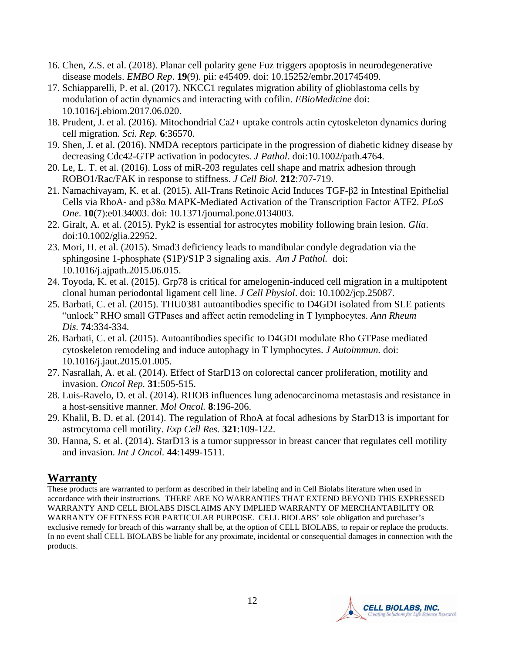- 16. Chen, Z.S. et al. (2018). Planar cell polarity gene Fuz triggers apoptosis in neurodegenerative disease models. *EMBO Rep*. **19**(9). pii: e45409. doi: 10.15252/embr.201745409.
- 17. Schiapparelli, P. et al. (2017). NKCC1 regulates migration ability of glioblastoma cells by modulation of actin dynamics and interacting with cofilin. *EBioMedicine* doi: 10.1016/j.ebiom.2017.06.020.
- 18. Prudent, J. et al. (2016). Mitochondrial Ca2+ uptake controls actin cytoskeleton dynamics during cell migration. *Sci. Rep.* **6**:36570.
- 19. Shen, J. et al. (2016). NMDA receptors participate in the progression of diabetic kidney disease by decreasing Cdc42-GTP activation in podocytes. *J Pathol*. doi:10.1002/path.4764.
- 20. Le, L. T. et al. (2016). Loss of miR-203 regulates cell shape and matrix adhesion through ROBO1/Rac/FAK in response to stiffness. *J Cell Biol.* **212**:707-719.
- 21. Namachivayam, K. et al. (2015). All-Trans Retinoic Acid Induces TGF-β2 in Intestinal Epithelial Cells via RhoA- and p38α MAPK-Mediated Activation of the Transcription Factor ATF2. *PLoS One*. **10**(7):e0134003. doi: 10.1371/journal.pone.0134003.
- 22. Giralt, A. et al. (2015). Pyk2 is essential for astrocytes mobility following brain lesion. *Glia*. doi:10.1002/glia.22952.
- 23. Mori, H. et al. (2015). Smad3 deficiency leads to mandibular condyle degradation via the sphingosine 1-phosphate (S1P)/S1P 3 signaling axis. *Am J Pathol.* doi: 10.1016/j.ajpath.2015.06.015.
- 24. Toyoda, K. et al. (2015). Grp78 is critical for amelogenin-induced cell migration in a multipotent clonal human periodontal ligament cell line. *J Cell Physiol*. doi: 10.1002/jcp.25087.
- 25. Barbati, C. et al. (2015). THU0381 autoantibodies specific to D4GDI isolated from SLE patients "unlock" RHO small GTPases and affect actin remodeling in T lymphocytes. *Ann Rheum Dis.* **74**:334-334.
- 26. Barbati, C. et al. (2015). Autoantibodies specific to D4GDI modulate Rho GTPase mediated cytoskeleton remodeling and induce autophagy in T lymphocytes. *J Autoimmun.* [doi:](http://dx.doi.org/10.1016/j.jaut.2015.01.005) [10.1016/j.jaut.2015.01.005.](http://dx.doi.org/10.1016/j.jaut.2015.01.005)
- 27. Nasrallah, A. et al. (2014). Effect of StarD13 on colorectal cancer proliferation, motility and invasion. *Oncol Rep.* **31**:505-515.
- 28. Luis-Ravelo, D. et al. (2014). RHOB influences lung adenocarcinoma metastasis and resistance in a host-sensitive manner. *Mol Oncol.* **8**:196-206.
- 29. Khalil, B. D. et al. (2014). The regulation of RhoA at focal adhesions by StarD13 is important for astrocytoma cell motility. *Exp Cell Res.* **321**:109-122.
- 30. Hanna, S. et al. (2014). StarD13 is a tumor suppressor in breast cancer that regulates cell motility and invasion. *Int J Oncol.* **44**:1499-1511.

# **Warranty**

These products are warranted to perform as described in their labeling and in Cell Biolabs literature when used in accordance with their instructions. THERE ARE NO WARRANTIES THAT EXTEND BEYOND THIS EXPRESSED WARRANTY AND CELL BIOLABS DISCLAIMS ANY IMPLIED WARRANTY OF MERCHANTABILITY OR WARRANTY OF FITNESS FOR PARTICULAR PURPOSE. CELL BIOLABS' sole obligation and purchaser's exclusive remedy for breach of this warranty shall be, at the option of CELL BIOLABS, to repair or replace the products. In no event shall CELL BIOLABS be liable for any proximate, incidental or consequential damages in connection with the products.